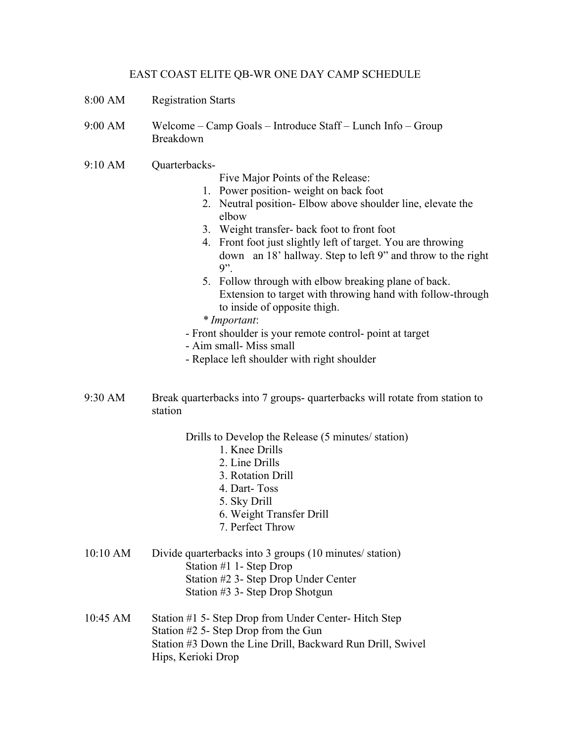## EAST COAST ELITE QB-WR ONE DAY CAMP SCHEDULE

- 8:00 AM Registration Starts
- 9:00 AM Welcome Camp Goals Introduce Staff Lunch Info Group Breakdown
- 9:10 AM Ouarterbacks-
- Five Major Points of the Release:
- 1. Power position- weight on back foot
- 2. Neutral position- Elbow above shoulder line, elevate the elbow
- 3. Weight transfer- back foot to front foot
- 4. Front foot just slightly left of target. You are throwing down an 18' hallway. Step to left 9" and throw to the right 9".
- 5. Follow through with elbow breaking plane of back. Extension to target with throwing hand with follow-through to inside of opposite thigh.
- *\* Important*:
- Front shoulder is your remote control- point at target
- Aim small- Miss small
- Replace left shoulder with right shoulder
- 9:30 AM Break quarterbacks into 7 groups- quarterbacks will rotate from station to station

Drills to Develop the Release (5 minutes/ station)

- 1. Knee Drills
- 2. Line Drills
- 3. Rotation Drill
- 4. Dart- Toss
- 5. Sky Drill
- 6. Weight Transfer Drill
- 7. Perfect Throw
- 10:10 AM Divide quarterbacks into 3 groups (10 minutes/ station) Station #1 1- Step Drop Station #2 3- Step Drop Under Center Station #3 3- Step Drop Shotgun
- 10:45 AM Station #1 5- Step Drop from Under Center- Hitch Step Station #2 5- Step Drop from the Gun Station #3 Down the Line Drill, Backward Run Drill, Swivel Hips, Kerioki Drop